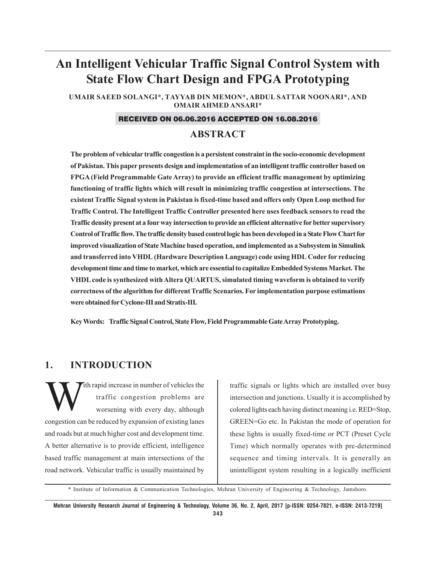# **An Intelligent Vehicular Traffic Signal Control System with State Flow Chart Design and FPGA Prototyping**

**UMAIR SAEED SOLANGI\*, TAYYAB DIN MEMON\*, ABDUL SATTAR NOONARI\*, AND OMAIR AHMED ANSARI\***

#### RECEIVED ON 06.06.2016 ACCEPTED ON 16.08.2016

# **ABSTRACT**

**The problem of vehicular traffic congestion is a persistent constraint in the socio-economic development of Pakistan. This paper presents design and implementation of an intelligent traffic controller based on FPGA (Field Programmable Gate Array) to provide an efficient traffic management by optimizing functioning of traffic lights which will result in minimizing traffic congestion at intersections. The existent Traffic Signal system in Pakistan is fixed-time based and offers only Open Loop method for Traffic Control. The Intelligent Traffic Controller presented here uses feedback sensors to read the Traffic density present at a four way intersection to provide an efficient alternative for better supervisory Control of Traffic flow. The traffic density based control logic has been developed in a State Flow Chart for improved visualization of State Machine based operation, and implemented as a Subsystem in Simulink and transferred into VHDL (Hardware Description Language) code using HDL Coder for reducing development time and time to market, which are essential to capitalize Embedded Systems Market. The VHDL code is synthesized with Altera QUARTUS, simulated timing waveform is obtained to verify correctness of the algorithm for different Traffic Scenarios. For implementation purpose estimations were obtained for Cyclone-III and Stratix-III.**

**Key Words: Traffic Signal Control, State Flow, Field Programmable Gate Array Prototyping.**

# **1. INTRODUCTION**

Tith rapid increase in number of vehicles the<br>traffic congestion problems are<br>worsening with every day, although traffic congestion problems are worsening with every day, although congestion can be reduced by expansion of existing lanes and roads but at much higher cost and development time. A better alternative is to provide efficient, intelligence based traffic management at main intersections of the road network. Vehicular traffic is usually maintained by

traffic signals or lights which are installed over busy intersection and junctions. Usually it is accomplished by colored lights each having distinct meaning i.e. RED=Stop, GREEN=Go etc. In Pakistan the mode of operation for these lights is usually fixed-time or PCT (Preset Cycle Time) which normally operates with pre-determined sequence and timing intervals. It is generally an unintelligent system resulting in a logically inefficient

\* Institute of Information & Communication Technologies, Mehran University of Engineering & Technology, Jamshoro.

**Mehran University Research Journal of Engineering & Technology, Volume 36, No. 2, April, 2017 [p-ISSN: 0254-7821, e-ISSN: 2413-7219] 343**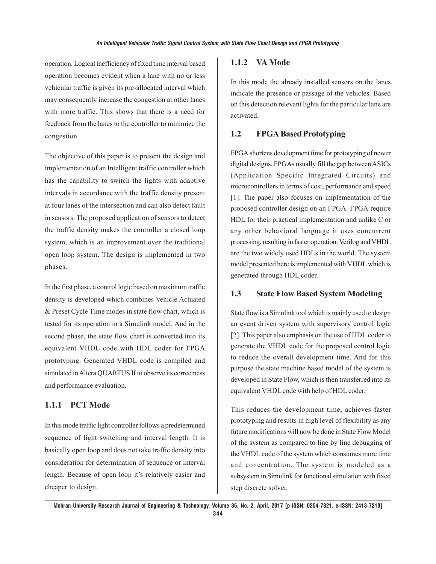operation. Logical inefficiency of fixed time interval based operation becomes evident when a lane with no or less vehicular traffic is given its pre-allocated interval which may consequently increase the congestion at other lanes with more traffic. This shows that there is a need for feedback from the lanes to the controller to minimize the congestion.

The objective of this paper is to present the design and implementation of an Intelligent traffic controller which has the capability to switch the lights with adaptive intervals in accordance with the traffic density present at four lanes of the intersection and can also detect fault in sensors. The proposed application of sensors to detect the traffic density makes the controller a closed loop system, which is an improvement over the traditional open loop system. The design is implemented in two phases.

In the first phase, a control logic based on maximum traffic density is developed which combines Vehicle Actuated & Preset Cycle Time modes in state flow chart, which is tested for its operation in a Simulink model. And in the second phase, the state flow chart is converted into its equivalent VHDL code with HDL coder for FPGA prototyping. Generated VHDL code is compiled and simulated in Altera QUARTUS II to observe its correctness and performance evaluation.

#### **1.1.1 PCT Mode**

In this mode traffic light controller follows a predetermined sequence of light switching and interval length. It is basically open loop and does not take traffic density into consideration for determination of sequence or interval length. Because of open loop it's relatively easier and cheaper to design.

## **1.1.2 VA Mode**

In this mode the already installed sensors on the lanes indicate the presence or passage of the vehicles. Based on this detection relevant lights for the particular lane are activated.

#### **1.2 FPGA Based Prototyping**

FPGA shortens development time for prototyping of newer digital designs. FPGAs usually fill the gap between ASICs (Application Specific Integrated Circuits) and microcontrollers in terms of cost, performance and speed [1]. The paper also focuses on implementation of the proposed controller design on an FPGA. FPGA require HDL for their practical implementation and unlike C or any other behavioral language it uses concurrent processing, resulting in faster operation. Verilog and VHDL are the two widely used HDLs in the world. The system model presented here is implemented with VHDL which is generated through HDL coder.

## **1.3 State Flow Based System Modeling**

State flow is a Simulink tool which is mainly used to design an event driven system with supervisory control logic [2]. This paper also emphasis on the use of HDL coder to generate the VHDL code for the proposed control logic to reduce the overall development time. And for this purpose the state machine based model of the system is developed in State Flow, which is then transferred into its equivalent VHDL code with help of HDL coder.

This reduces the development time, achieves faster prototyping and results in high level of flexibility as any future modifications will now be done in State Flow Model of the system as compared to line by line debugging of the VHDL code of the system which consumes more time and concentration. The system is modeled as a subsystem in Simulink for functional simulation with fixed step discrete solver.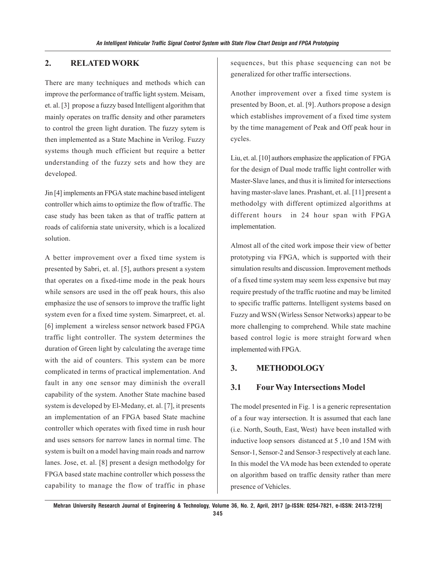# **2. RELATED WORK**

There are many techniques and methods which can improve the performance of traffic light system. Meisam, et. al. [3] propose a fuzzy based Intelligent algorithm that mainly operates on traffic density and other parameters to control the green light duration. The fuzzy sytem is then implemented as a State Machine in Verilog. Fuzzy systems though much efficient but require a better understanding of the fuzzy sets and how they are developed.

Jin [4] implements an FPGA state machine based inteligent controller which aims to optimize the flow of traffic. The case study has been taken as that of traffic pattern at roads of california state university, which is a localized solution.

A better improvement over a fixed time system is presented by Sabri, et. al. [5], authors present a system that operates on a fixed-time mode in the peak hours while sensors are used in the off peak hours, this also emphasize the use of sensors to improve the traffic light system even for a fixed time system. Simarpreet, et. al. [6] implement a wireless sensor network based FPGA traffic light controller. The system determines the duration of Green light by calculating the average time with the aid of counters. This system can be more complicated in terms of practical implementation. And fault in any one sensor may diminish the overall capability of the system. Another State machine based system is developed by El-Medany, et. al. [7], it presents an implementation of an FPGA based State machine controller which operates with fixed time in rush hour and uses sensors for narrow lanes in normal time. The system is built on a model having main roads and narrow lanes. Jose, et. al. [8] present a design methodolgy for FPGA based state machine controller which possess the capability to manage the flow of traffic in phase

sequences, but this phase sequencing can not be generalized for other traffic intersections.

Another improvement over a fixed time system is presented by Boon, et. al. [9]. Authors propose a design which establishes improvement of a fixed time system by the time management of Peak and Off peak hour in cycles.

Liu, et. al. [10] authors emphasize the application of FPGA for the design of Dual mode traffic light controller with Master-Slave lanes, and thus it is limited for intersections having master-slave lanes. Prashant, et. al. [11] present a methodolgy with different optimized algorithms at different hours in 24 hour span with FPGA implementation.

Almost all of the cited work impose their view of better prototyping via FPGA, which is supported with their simulation results and discussion. Improvement methods of a fixed time system may seem less expensive but may require prestudy of the traffic ruotine and may be limited to specific traffic patterns. Intelligent systems based on Fuzzy and WSN (Wirless Sensor Networks) appear to be more challenging to comprehend. While state machine based control logic is more straight forward when implemented with FPGA.

#### **3. METHODOLOGY**

#### **3.1 Four Way Intersections Model**

The model presented in Fig. 1 is a generic representation of a four way intersection. It is assumed that each lane (i.e. North, South, East, West) have been installed with inductive loop sensors distanced at 5 ,10 and 15M with Sensor-1, Sensor-2 and Sensor-3 respectively at each lane. In this model the VA mode has been extended to operate on algorithm based on traffic density rather than mere presence of Vehicles.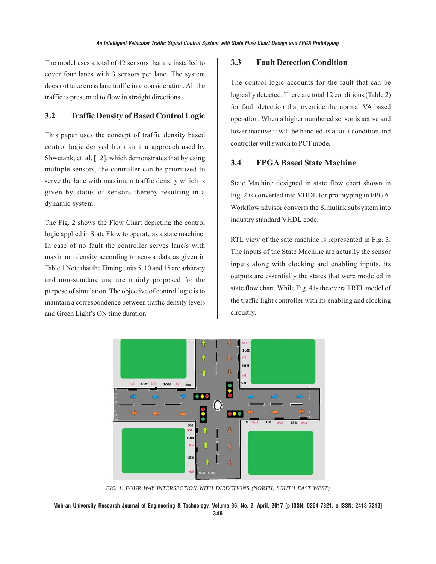The model uses a total of 12 sensors that are installed to cover four lanes with 3 sensors per lane. The system does not take cross lane traffic into consideration. All the traffic is presumed to flow in straight directions.

#### **3.2 Traffic Density of Based Control Logic**

This paper uses the concept of traffic density based control logic derived from similar approach used by Shwetank, et. al. [12], which demonstrates that by using multiple sensors, the controller can be prioritized to serve the lane with maximum traffic density which is given by status of sensors thereby resulting in a dynamic system.

The Fig. 2 shows the Flow Chart depicting the control logic applied in State Flow to operate as a state machine. In case of no fault the controller serves lane/s with maximum density according to sensor data as given in Table 1 Note that the Timing units 5, 10 and 15 are arbitrary and non-standard and are mainly proposed for the purpose of simulation. The objective of control logic is to maintain a correspondence between traffic density levels and Green Light's ON time duration.

#### **3.3 Fault Detection Condition**

The control logic accounts for the fault that can be logically detected. There are total 12 conditions (Table 2) for fault detection that override the normal VA based operation. When a higher numbered sensor is active and lower inactive it will be handled as a fault condition and controller will switch to PCT mode.

#### **3.4 FPGA Based State Machine**

State Machine designed in state flow chart shown in Fig. 2 is converted into VHDL for prototyping in FPGA. Workflow advisor converts the Simulink subsystem into industry standard VHDL code.

RTL view of the sate machine is represented in Fig. 3. The inputs of the State Machine are actually the sensor inputs along with clocking and enabling inputs, its outputs are essentially the states that were modeled in state flow chart. While Fig. 4 is the overall RTL model of the traffic light controller with its enabling and clocking circuitry.



*FIG. 1. FOUR WAY INTERSECTION WITH DIRECTIONS (NORTH, SOUTH EAST WEST)*

**Mehran University Research Journal of Engineering & Technology, Volume 36, No. 2, April, 2017 [p-ISSN: 0254-7821, e-ISSN: 2413-7219] 346**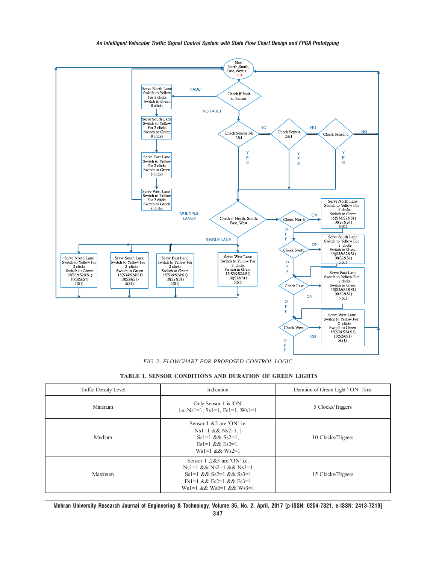

*An Intelligent Vehicular Traffic Signal Control System with State Flow Chart Design and FPGA Prototyping*

*FIG. 2. FLOWCHART FOR PROPOSED CONTROL LOGIC*

|  | <b>TABLE 1. SENSOR CONDITIONS AND DURATION OF GREEN LIGHTS</b> |
|--|----------------------------------------------------------------|
|  |                                                                |

| Traffic Density Level | Indication                                                                                                                                                    | Duration of Green Light ' ON' Time |  |
|-----------------------|---------------------------------------------------------------------------------------------------------------------------------------------------------------|------------------------------------|--|
| Minimum               | Only Sensor 1 is 'ON'<br>i.e. $Ns1=1$ , $Ss1=1$ , $Es1=1$ , $Ws1=1$                                                                                           | 5 Clocks/Triggers                  |  |
| Medium                | Sensor $1 \& 2$ are 'ON' i.e.<br>$Ns1=1$ & & $Ns2=1$ ,<br>$Ssl=1$ & & $Ssl=1$ ,<br>Es1=1 & & Es2=1,<br>$Ws1=1$ && $Ws2=1$                                     | 10 Clocks/Triggers                 |  |
| Maximum               | Sensor $1,2&3$ are 'ON' i.e.<br>$Ns1=1$ && $Ns2=1$ && $Ns3=1$<br>$\text{Ss1}=1$ && Ss2=1 && Ss3=1<br>Es1=1 && Es2=1 && Es3=1<br>$Wsl=1$ && $Wsl=1$ && $Wsl=1$ | 15 Clocks/Triggers                 |  |

**Mehran University Research Journal of Engineering & Technology, Volume 36, No. 2, April, 2017 [p-ISSN: 0254-7821, e-ISSN: 2413-7219]**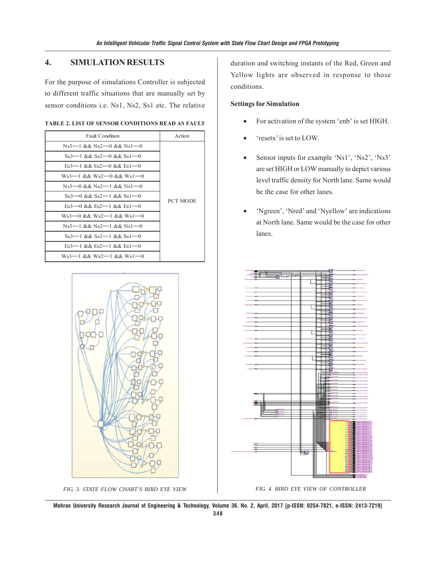# **4. SIMULATION RESULTS**

For the purpose of simulations Controller is subjected to different traffic situations that are manually set by sensor conditions i.e. Ns1, Ns2, Ss1 etc. The relative

| <b>Fault Condition</b>                                        | Action          |
|---------------------------------------------------------------|-----------------|
| $Ns3 == 1$ & & $Ns2 == 0$ & & $Ns1 == 0$                      |                 |
| $\text{Ss3} == 1 \&\&\text{Ss2} == 0 \&\&\text{Ss1} == 0$     |                 |
| $Fs3 == 1 & \& Es2 == 0 & \& Es1 == 0$                        |                 |
| Ws3==1 && Ws2==0 && Ws1==0                                    |                 |
| $Ns3 == 0$ & & $Ns2 == 1$ & & $Ns1 == 0$                      | <b>PCT MODE</b> |
| $S_{\rm s}3 == 0$ & & $S_{\rm s}2 == 1$ & & $S_{\rm s}1 == 0$ |                 |
| $Fs3 == 0 & & Es2 == 1 & & Es1 == 0$                          |                 |
| $Ws3 == 0$ & & $Ws2 == 1$ & & $Ws1 == 0$                      |                 |
| $Ns3 == 1$ & & $Ns2 == 1$ & & $Ns1 == 0$                      |                 |
| $\text{Ss3} == 1 \&\&\text{Ss2} == 1 \&\&\text{Ss1} == 0$     |                 |
| $Fs3 == 1 & & Es2 == 1 & & Es1 == 0$                          |                 |
| $Ws3 == 1$ & & $Ws2 == 1$ & & $Ws1 == 0$                      |                 |

#### **TABLE 2. LIST OF SENSOR CONDITIONS READ AS FAULT**



*FIG. 3. STATE FLOW CHART'S BIRD EYE VIEW FIG. 4. BIRD EYE VIEW OF CONTROLLER*

duration and switching instants of the Red, Green and Yellow lights are observed in response to those conditions.

#### **Settings for Simulation**

- For activation of the system 'enb' is set HIGH.
- 'resetx' is set to LOW.
- Sensor inputs for example 'Ns1', 'Ns2', 'Ns3' are set HIGH or LOW manually to depict various level traffic density for North lane. Same would be the case for other lanes.
- 'Ngreen', 'Nred' and 'Nyellow' are indications at North lane. Same would be the case for other lanes.



**Mehran University Research Journal of Engineering & Technology, Volume 36, No. 2, April, 2017 [p-ISSN: 0254-7821, e-ISSN: 2413-7219]**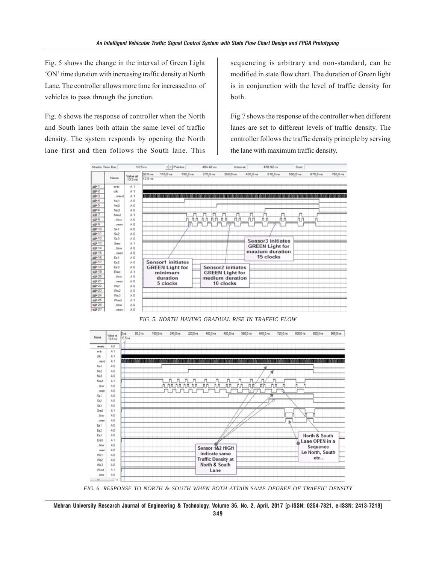Fig. 5 shows the change in the interval of Green Light 'ON' time duration with increasing traffic density at North Lane. The controller allows more time for increased no. of vehicles to pass through the junction.

Fig. 6 shows the response of controller when the North and South lanes both attain the same level of traffic density. The system responds by opening the North lane first and then follows the South lane. This

sequencing is arbitrary and non-standard, can be modified in state flow chart. The duration of Green light is in conjunction with the level of traffic density for both.

Fig.7 shows the response of the controller when different lanes are set to different levels of traffic density. The controller follows the traffic density principle by serving the lane with maximum traffic density.



*FIG. 5. NORTH HAVING GRADUAL RISE IN TRAFFIC FLOW*



*FIG. 6. RESPONSE TO NORTH & SOUTH WHEN BOTH ATTAIN SAME DEGREE OF TRAFFIC DENSITY*

**Mehran University Research Journal of Engineering & Technology, Volume 36, No. 2, April, 2017 [p-ISSN: 0254-7821, e-ISSN: 2413-7219] 349**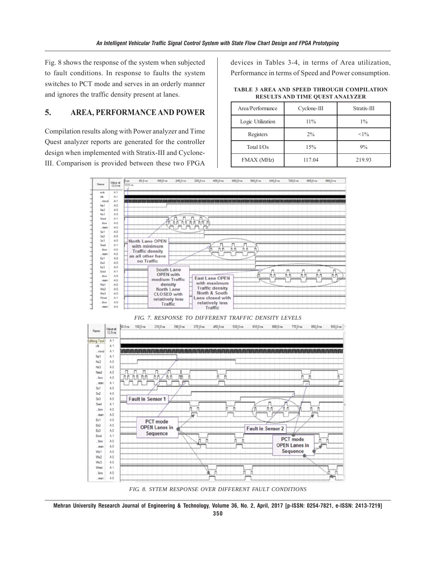Fig. 8 shows the response of the system when subjected to fault conditions. In response to faults the system switches to PCT mode and serves in an orderly manner and ignores the traffic density present at lanes.

# **5. AREA, PERFORMANCE AND POWER**

Compilation results along with Power analyzer and Time Quest analyzer reports are generated for the controller design when implemented with Stratix-III and Cyclone-III. Comparison is provided between these two FPGA

devices in Tables 3-4, in terms of Area utilization, Performance in terms of Speed and Power consumption.

**TABLE 3 AREA AND SPEED THROUGH COMPILATION RESULTS AND TIME QUEST ANALYZER**

| Area/Performance  | $C$ yclone-III | Stratix-III |
|-------------------|----------------|-------------|
| Logic Utilization | 11%            | $1\%$       |
| Registers         | $2\%$          | $<1\%$      |
| Total I/Os        | 15%            | 9%          |
| <b>FMAX (MHz)</b> | 117.04         | 219.93      |



*FIG. 8. SYTEM RESPONSE OVER DIFFERENT FAULT CONDITIONS*

**Mehran University Research Journal of Engineering & Technology, Volume 36, No. 2, April, 2017 [p-ISSN: 0254-7821, e-ISSN: 2413-7219]**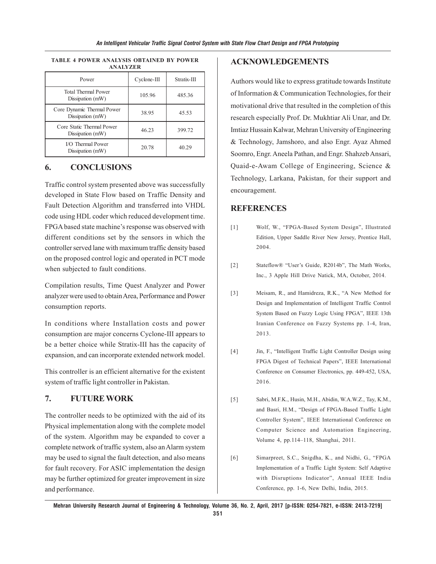| Power                                          | $C$ yclone-III | Stratix-III |
|------------------------------------------------|----------------|-------------|
| <b>Total Thermal Power</b><br>Dissipation (mW) | 105.96         | 485.36      |
| Core Dynamic Thermal Power<br>Dissipation (mW) | 38.95          | 45.53       |
| Core Static Thermal Power<br>Dissipation (mW)  | 46.23          | 399.72      |
| I/O Thermal Power<br>Dissipation (mW)          | 20.78          | 40.29       |

#### **TABLE 4 POWER ANALYSIS OBTAINED BY POWER ANALYZER**

## **6. CONCLUSIONS**

Traffic control system presented above was successfully developed in State Flow based on Traffic Density and Fault Detection Algorithm and transferred into VHDL code using HDL coder which reduced development time. FPGA based state machine's response was observed with different conditions set by the sensors in which the controller served lane with maximum traffic density based on the proposed control logic and operated in PCT mode when subjected to fault conditions.

Compilation results, Time Quest Analyzer and Power analyzer were used to obtain Area, Performance and Power consumption reports.

In conditions where Installation costs and power consumption are major concerns Cyclone-III appears to be a better choice while Stratix-III has the capacity of expansion, and can incorporate extended network model.

This controller is an efficient alternative for the existent system of traffic light controller in Pakistan.

# **7. FUTURE WORK**

The controller needs to be optimized with the aid of its Physical implementation along with the complete model of the system. Algorithm may be expanded to cover a complete network of traffic system, also an Alarm system may be used to signal the fault detection, and also means for fault recovery. For ASIC implementation the design may be further optimized for greater improvement in size and performance.

## **ACKNOWLEDGEMENTS**

Authors would like to express gratitude towards Institute of Information & Communication Technologies, for their motivational drive that resulted in the completion of this research especially Prof. Dr. Mukhtiar Ali Unar, and Dr. Imtiaz Hussain Kalwar, Mehran University of Engineering & Technology, Jamshoro, and also Engr. Ayaz Ahmed Soomro, Engr. Aneela Pathan, and Engr. Shahzeb Ansari, Quaid-e-Awam College of Engineering, Science & Technology, Larkana, Pakistan, for their support and encouragement.

## **REFERENCES**

- [1] Wolf, W., "FPGA-Based System Design", Illustrated Edition, Upper Saddle River New Jersey, Prentice Hall, 2004.
- [2] Stateflow® "User's Guide, R2014b", The Math Works, Inc., 3 Apple Hill Drive Natick, MA, October, 2014.
- [3] Meisam, R., and Hamidreza, R.K., "A New Method for Design and Implementation of Intelligent Traffic Control System Based on Fuzzy Logic Using FPGA", IEEE 13th Iranian Conference on Fuzzy Systems pp. 1-4, Iran, 2013.
- [4] Jin, F., "Intelligent Traffic Light Controller Design using FPGA Digest of Technical Papers", IEEE International Conference on Consumer Electronics, pp. 449-452, USA, 2016.
- [5] Sabri, M.F.K., Husin, M.H., Abidin, W.A.W.Z., Tay, K.M., and Basri, H.M., "Design of FPGA-Based Traffic Light Controller System", IEEE International Conference on Computer Science and Automation Engineering, Volume 4, pp.114–118, Shanghai, 2011.
- [6] Simarpreet, S.C., Snigdha, K., and Nidhi, G., "FPGA Implementation of a Traffic Light System: Self Adaptive with Disruptions Indicator", Annual IEEE India Conference, pp. 1-6, New Delhi, India, 2015.